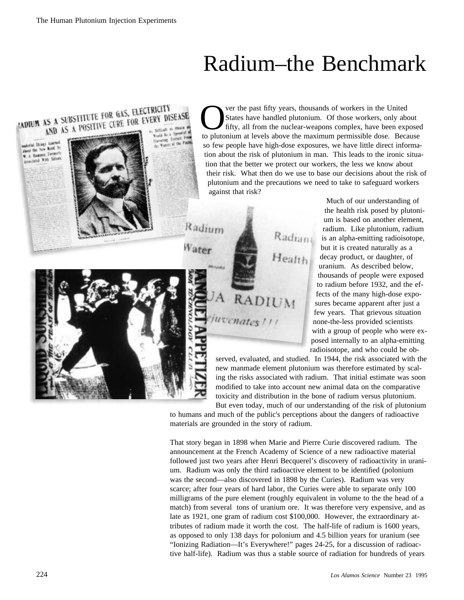## Radium–the Benchmark



shering Things Lancons anderial the New Metal by A Hammer, Fermerit with Edison



Estrad

Radium

Water

ver the past fifty years, thousands of workers in the United States have handled plutonium. Of those workers, only about fifty, all from the nuclear-weapons complex, have been exposed to plutonium at levels above the maximum permissible dose. Because so few people have high-dose exposures, we have little direct information about the risk of plutonium in man. This leads to the ironic situation that the better we protect our workers, the less we know about their risk. What then do we use to base our decisions about the risk of plutonium and the precautions we need to take to safeguard workers against that risk?

Radiant

Health

A RADIUM

uvenates !!!



Much of our understanding of the health risk posed by plutonium is based on another element, radium. Like plutonium, radium is an alpha-emitting radioisotope, but it is created naturally as a decay product, or daughter, of uranium. As described below, thousands of people were exposed to radium before 1932, and the effects of the many high-dose exposures became apparent after just a few years. That grievous situation none-the-less provided scientists with a group of people who were exposed internally to an alpha-emitting radioisotope, and who could be ob-

served, evaluated, and studied. In 1944, the risk associated with the new manmade element plutonium was therefore estimated by scaling the risks associated with radium. That initial estimate was soon modified to take into account new animal data on the comparative toxicity and distribution in the bone of radium versus plutonium.

But even today, much of our understanding of the risk of plutonium to humans and much of the public's perceptions about the dangers of radioactive materials are grounded in the story of radium.

That story began in 1898 when Marie and Pierre Curie discovered radium. The announcement at the French Academy of Science of a new radioactive material followed just two years after Henri Becquerel's discovery of radioactivity in uranium. Radium was only the third radioactive element to be identified (polonium was the second—also discovered in 1898 by the Curies). Radium was very scarce; after four years of hard labor, the Curies were able to separate only 100 milligrams of the pure element (roughly equivalent in volume to the the head of a match) from several tons of uranium ore. It was therefore very expensive, and as late as 1921, one gram of radium cost \$100,000. However, the extraordinary attributes of radium made it worth the cost. The half-life of radium is 1600 years, as opposed to only 138 days for polonium and 4.5 billion years for uranium (see "Ionizing Radiation—It's Everywhere!" pages 24-25, for a discussion of radioactive half-life). Radium was thus a stable source of radiation for hundreds of years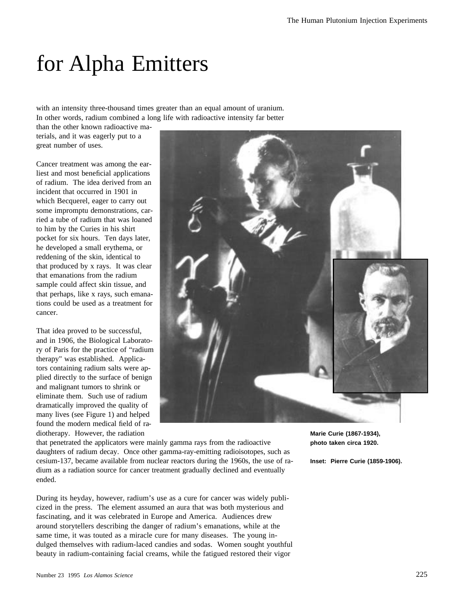# for Alpha Emitters

with an intensity three-thousand times greater than an equal amount of uranium. In other words, radium combined a long life with radioactive intensity far better

than the other known radioactive materials, and it was eagerly put to a great number of uses.

Cancer treatment was among the earliest and most beneficial applications of radium. The idea derived from an incident that occurred in 1901 in which Becquerel, eager to carry out some impromptu demonstrations, carried a tube of radium that was loaned to him by the Curies in his shirt pocket for six hours. Ten days later, he developed a small erythema, or reddening of the skin, identical to that produced by x rays. It was clear that emanations from the radium sample could affect skin tissue, and that perhaps, like x rays, such emanations could be used as a treatment for cancer.

That idea proved to be successful, and in 1906, the Biological Laboratory of Paris for the practice of "radium therapy" was established. Applicators containing radium salts were applied directly to the surface of benign and malignant tumors to shrink or eliminate them. Such use of radium dramatically improved the quality of many lives (see Figure 1) and helped found the modern medical field of radiotherapy. However, the radiation



that penetrated the applicators were mainly gamma rays from the radioactive daughters of radium decay. Once other gamma-ray-emitting radioisotopes, such as cesium-137, became available from nuclear reactors during the 1960s, the use of radium as a radiation source for cancer treatment gradually declined and eventually ended.

During its heyday, however, radium's use as a cure for cancer was widely publicized in the press. The element assumed an aura that was both mysterious and fascinating, and it was celebrated in Europe and America. Audiences drew around storytellers describing the danger of radium's emanations, while at the same time, it was touted as a miracle cure for many diseases. The young indulged themselves with radium-laced candies and sodas. Women sought youthful beauty in radium-containing facial creams, while the fatigued restored their vigor

**Marie Curie (1867-1934), photo taken circa 1920.** 

**Inset: Pierre Curie (1859-1906).**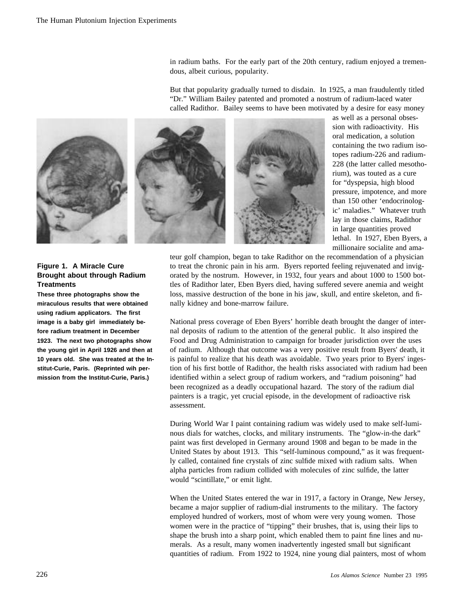in radium baths. For the early part of the 20th century, radium enjoyed a tremendous, albeit curious, popularity.

But that popularity gradually turned to disdain. In 1925, a man fraudulently titled "Dr." William Bailey patented and promoted a nostrum of radium-laced water called Radithor. Bailey seems to have been motivated by a desire for easy money



as well as a personal obsession with radioactivity. His oral medication, a solution containing the two radium isotopes radium-226 and radium-228 (the latter called mesothorium), was touted as a cure for "dyspepsia, high blood pressure, impotence, and more than 150 other 'endocrinologic' maladies." Whatever truth lay in those claims, Radithor in large quantities proved lethal. In 1927, Eben Byers, a millionaire socialite and ama-

#### **Figure 1. A Miracle Cure Brought about through Radium Treatments**

**These three photographs show the miraculous results that were obtained using radium applicators. The first image is a baby girl immediately before radium treatment in December 1923. The next two photographs show the young girl in April 1926 and then at 10 years old. She was treated at the Institut-Curie, Paris. (Reprinted wih permission from the Institut-Curie, Paris.)**

teur golf champion, began to take Radithor on the recommendation of a physician to treat the chronic pain in his arm. Byers reported feeling rejuvenated and invigorated by the nostrum. However, in 1932, four years and about 1000 to 1500 bottles of Radithor later, Eben Byers died, having suffered severe anemia and weight loss, massive destruction of the bone in his jaw, skull, and entire skeleton, and finally kidney and bone-marrow failure.

National press coverage of Eben Byers' horrible death brought the danger of internal deposits of radium to the attention of the general public. It also inspired the Food and Drug Administration to campaign for broader jurisdiction over the uses of radium. Although that outcome was a very positive result from Byers' death, it is painful to realize that his death was avoidable. Two years prior to Byers' ingestion of his first bottle of Radithor, the health risks associated with radium had been identified within a select group of radium workers, and "radium poisoning" had been recognized as a deadly occupational hazard. The story of the radium dial painters is a tragic, yet crucial episode, in the development of radioactive risk assessment.

During World War I paint containing radium was widely used to make self-luminous dials for watches, clocks, and military instruments. The "glow-in-the dark" paint was first developed in Germany around 1908 and began to be made in the United States by about 1913. This "self-luminous compound," as it was frequently called, contained fine crystals of zinc sulfide mixed with radium salts. When alpha particles from radium collided with molecules of zinc sulfide, the latter would "scintillate," or emit light.

When the United States entered the war in 1917, a factory in Orange, New Jersey, became a major supplier of radium-dial instruments to the military. The factory employed hundred of workers, most of whom were very young women. Those women were in the practice of "tipping" their brushes, that is, using their lips to shape the brush into a sharp point, which enabled them to paint fine lines and numerals. As a result, many women inadvertently ingested small but significant quantities of radium. From 1922 to 1924, nine young dial painters, most of whom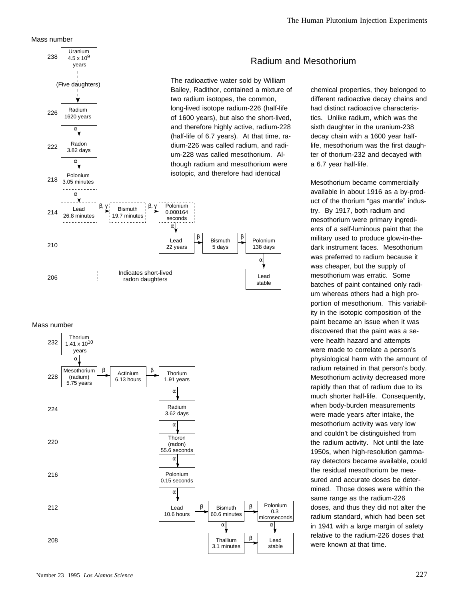Mass number



#### Mass number



#### Radium and Mesothorium

chemical properties, they belonged to different radioactive decay chains and had distinct radioactive characteristics. Unlike radium, which was the sixth daughter in the uranium-238 decay chain with a 1600 year halflife, mesothorium was the first daughter of thorium-232 and decayed with a 6.7 year half-life.

Mesothorium became commercially available in about 1916 as a by-product of the thorium "gas mantle" industry. By 1917, both radium and mesothorium were primary ingredients of a self-luminous paint that the military used to produce glow-in-thedark instrument faces. Mesothorium was preferred to radium because it was cheaper, but the supply of mesothorium was erratic. Some batches of paint contained only radium whereas others had a high proportion of mesothorium. This variability in the isotopic composition of the paint became an issue when it was discovered that the paint was a severe health hazard and attempts were made to correlate a person's physiological harm with the amount of radium retained in that person's body. Mesothorium activity decreased more rapidly than that of radium due to its much shorter half-life. Consequently, when body-burden measurements were made years after intake, the mesothorium activity was very low and couldn't be distinguished from the radium activity. Not until the late 1950s, when high-resolution gammaray detectors became available, could the residual mesothorium be measured and accurate doses be determined. Those doses were within the same range as the radium-226 doses, and thus they did not alter the radium standard, which had been set in 1941 with a large margin of safety relative to the radium-226 doses that were known at that time.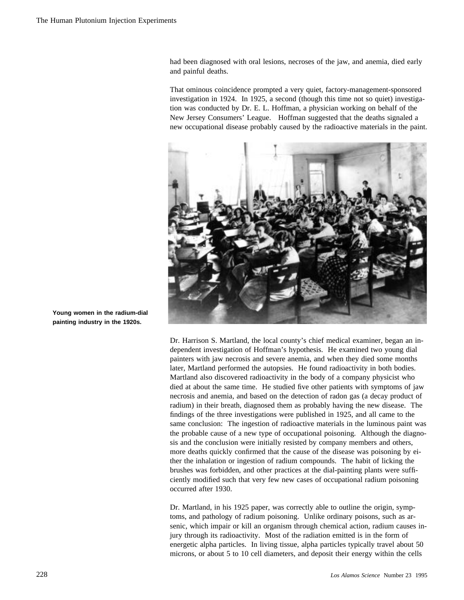had been diagnosed with oral lesions, necroses of the jaw, and anemia, died early and painful deaths.

That ominous coincidence prompted a very quiet, factory-management-sponsored investigation in 1924. In 1925, a second (though this time not so quiet) investigation was conducted by Dr. E. L. Hoffman, a physician working on behalf of the New Jersey Consumers' League. Hoffman suggested that the deaths signaled a new occupational disease probably caused by the radioactive materials in the paint.



**Young women in the radium-dial painting industry in the 1920s.**

> Dr. Harrison S. Martland, the local county's chief medical examiner, began an independent investigation of Hoffman's hypothesis. He examined two young dial painters with jaw necrosis and severe anemia, and when they died some months later, Martland performed the autopsies. He found radioactivity in both bodies. Martland also discovered radioactivity in the body of a company physicist who died at about the same time. He studied five other patients with symptoms of jaw necrosis and anemia, and based on the detection of radon gas (a decay product of radium) in their breath, diagnosed them as probably having the new disease. The findings of the three investigations were published in 1925, and all came to the same conclusion: The ingestion of radioactive materials in the luminous paint was the probable cause of a new type of occupational poisoning. Although the diagnosis and the conclusion were initially resisted by company members and others, more deaths quickly confirmed that the cause of the disease was poisoning by either the inhalation or ingestion of radium compounds. The habit of licking the brushes was forbidden, and other practices at the dial-painting plants were sufficiently modified such that very few new cases of occupational radium poisoning occurred after 1930.

> Dr. Martland, in his 1925 paper, was correctly able to outline the origin, symptoms, and pathology of radium poisoning. Unlike ordinary poisons, such as arsenic, which impair or kill an organism through chemical action, radium causes injury through its radioactivity. Most of the radiation emitted is in the form of energetic alpha particles. In living tissue, alpha particles typically travel about 50 microns, or about 5 to 10 cell diameters, and deposit their energy within the cells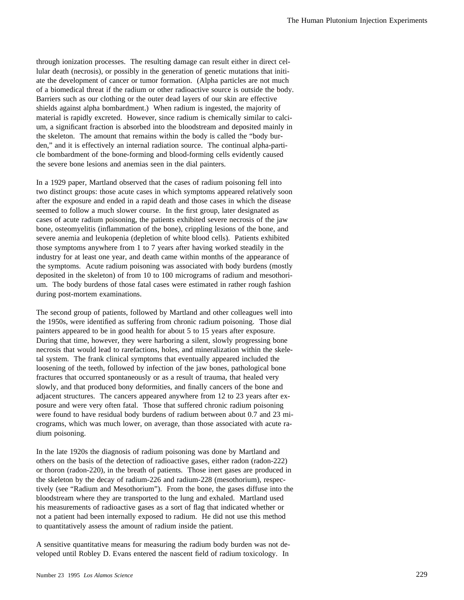through ionization processes. The resulting damage can result either in direct cellular death (necrosis), or possibly in the generation of genetic mutations that initiate the development of cancer or tumor formation. (Alpha particles are not much of a biomedical threat if the radium or other radioactive source is outside the body. Barriers such as our clothing or the outer dead layers of our skin are effective shields against alpha bombardment.) When radium is ingested, the majority of material is rapidly excreted. However, since radium is chemically similar to calcium, a significant fraction is absorbed into the bloodstream and deposited mainly in the skeleton. The amount that remains within the body is called the "body burden," and it is effectively an internal radiation source. The continual alpha-particle bombardment of the bone-forming and blood-forming cells evidently caused the severe bone lesions and anemias seen in the dial painters.

In a 1929 paper, Martland observed that the cases of radium poisoning fell into two distinct groups: those acute cases in which symptoms appeared relatively soon after the exposure and ended in a rapid death and those cases in which the disease seemed to follow a much slower course. In the first group, later designated as cases of acute radium poisoning, the patients exhibited severe necrosis of the jaw bone, osteomyelitis (inflammation of the bone), crippling lesions of the bone, and severe anemia and leukopenia (depletion of white blood cells). Patients exhibited those symptoms anywhere from 1 to 7 years after having worked steadily in the industry for at least one year, and death came within months of the appearance of the symptoms. Acute radium poisoning was associated with body burdens (mostly deposited in the skeleton) of from 10 to 100 micrograms of radium and mesothorium. The body burdens of those fatal cases were estimated in rather rough fashion during post-mortem examinations.

The second group of patients, followed by Martland and other colleagues well into the 1950s, were identified as suffering from chronic radium poisoning. Those dial painters appeared to be in good health for about 5 to 15 years after exposure. During that time, however, they were harboring a silent, slowly progressing bone necrosis that would lead to rarefactions, holes, and mineralization within the skeletal system. The frank clinical symptoms that eventually appeared included the loosening of the teeth, followed by infection of the jaw bones, pathological bone fractures that occurred spontaneously or as a result of trauma, that healed very slowly, and that produced bony deformities, and finally cancers of the bone and adjacent structures. The cancers appeared anywhere from 12 to 23 years after exposure and were very often fatal. Those that suffered chronic radium poisoning were found to have residual body burdens of radium between about 0.7 and 23 micrograms, which was much lower, on average, than those associated with acute radium poisoning.

In the late 1920s the diagnosis of radium poisoning was done by Martland and others on the basis of the detection of radioactive gases, either radon (radon-222) or thoron (radon-220), in the breath of patients. Those inert gases are produced in the skeleton by the decay of radium-226 and radium-228 (mesothorium), respectively (see "Radium and Mesothorium"). From the bone, the gases diffuse into the bloodstream where they are transported to the lung and exhaled. Martland used his measurements of radioactive gases as a sort of flag that indicated whether or not a patient had been internally exposed to radium. He did not use this method to quantitatively assess the amount of radium inside the patient.

A sensitive quantitative means for measuring the radium body burden was not developed until Robley D. Evans entered the nascent field of radium toxicology. In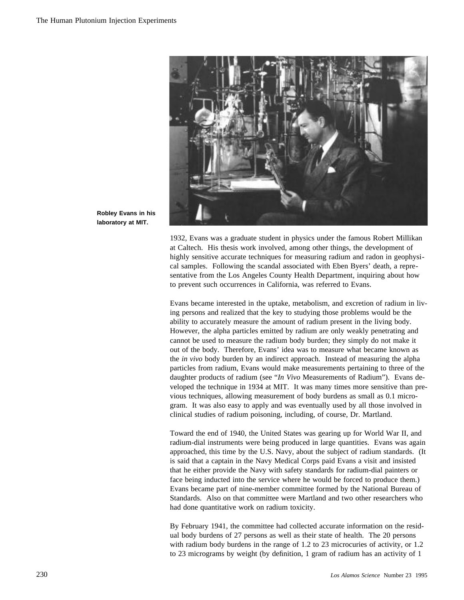

**Robley Evans in his laboratory at MIT.**

> 1932, Evans was a graduate student in physics under the famous Robert Millikan at Caltech. His thesis work involved, among other things, the development of highly sensitive accurate techniques for measuring radium and radon in geophysical samples. Following the scandal associated with Eben Byers' death, a representative from the Los Angeles County Health Department, inquiring about how to prevent such occurrences in California, was referred to Evans.

Evans became interested in the uptake, metabolism, and excretion of radium in living persons and realized that the key to studying those problems would be the ability to accurately measure the amount of radium present in the living body. However, the alpha particles emitted by radium are only weakly penetrating and cannot be used to measure the radium body burden; they simply do not make it out of the body. Therefore, Evans' idea was to measure what became known as the *in vivo* body burden by an indirect approach. Instead of measuring the alpha particles from radium, Evans would make measurements pertaining to three of the daughter products of radium (see "*In Vivo* Measurements of Radium"). Evans developed the technique in 1934 at MIT. It was many times more sensitive than previous techniques, allowing measurement of body burdens as small as 0.1 microgram. It was also easy to apply and was eventually used by all those involved in clinical studies of radium poisoning, including, of course, Dr. Martland.

Toward the end of 1940, the United States was gearing up for World War II, and radium-dial instruments were being produced in large quantities. Evans was again approached, this time by the U.S. Navy, about the subject of radium standards. (It is said that a captain in the Navy Medical Corps paid Evans a visit and insisted that he either provide the Navy with safety standards for radium-dial painters or face being inducted into the service where he would be forced to produce them.) Evans became part of nine-member committee formed by the National Bureau of Standards. Also on that committee were Martland and two other researchers who had done quantitative work on radium toxicity.

By February 1941, the committee had collected accurate information on the residual body burdens of 27 persons as well as their state of health. The 20 persons with radium body burdens in the range of 1.2 to 23 microcuries of activity, or 1.2 to 23 micrograms by weight (by definition, 1 gram of radium has an activity of 1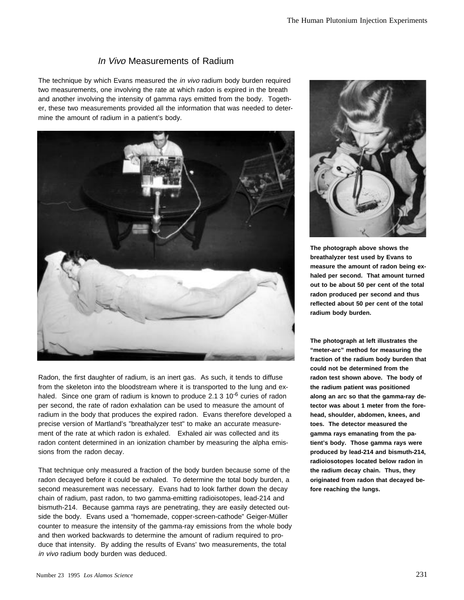### In Vivo Measurements of Radium

The technique by which Evans measured the *in vivo* radium body burden required two measurements, one involving the rate at which radon is expired in the breath and another involving the intensity of gamma rays emitted from the body. Together, these two measurements provided all the information that was needed to determine the amount of radium in a patient's body.



Radon, the first daughter of radium, is an inert gas. As such, it tends to diffuse from the skeleton into the bloodstream where it is transported to the lung and exhaled. Since one gram of radium is known to produce 2.1  $3 \times 10^{-6}$  curies of radon per second, the rate of radon exhalation can be used to measure the amount of radium in the body that produces the expired radon. Evans therefore developed a precise version of Martland's "breathalyzer test" to make an accurate measurement of the rate at which radon is exhaled. Exhaled air was collected and its radon content determined in an ionization chamber by measuring the alpha emissions from the radon decay.

That technique only measured a fraction of the body burden because some of the radon decayed before it could be exhaled. To determine the total body burden, a second measurement was necessary. Evans had to look farther down the decay chain of radium, past radon, to two gamma-emitting radioisotopes, lead-214 and bismuth-214. Because gamma rays are penetrating, they are easily detected outside the body. Evans used a "homemade, copper-screen-cathode" Geiger-Müller counter to measure the intensity of the gamma-ray emissions from the whole body and then worked backwards to determine the amount of radium required to produce that intensity. By adding the results of Evans' two measurements, the total in vivo radium body burden was deduced.



**The photograph above shows the breathalyzer test used by Evans to measure the amount of radon being exhaled per second. That amount turned out to be about 50 per cent of the total radon produced per second and thus reflected about 50 per cent of the total radium body burden.**

**The photograph at left illustrates the "meter-arc" method for measuring the fraction of the radium body burden that could not be determined from the radon test shown above. The body of the radium patient was positioned along an arc so that the gamma-ray detector was about 1 meter from the forehead, shoulder, abdomen, knees, and toes. The detector measured the gamma rays emanating from the patient's body. Those gamma rays were produced by lead-214 and bismuth-214, radioiosotopes located below radon in the radium decay chain. Thus, they originated from radon that decayed before reaching the lungs.**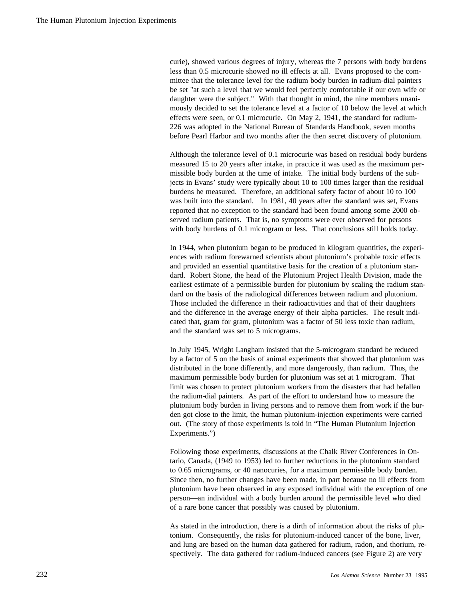curie), showed various degrees of injury, whereas the 7 persons with body burdens less than 0.5 microcurie showed no ill effects at all. Evans proposed to the committee that the tolerance level for the radium body burden in radium-dial painters be set "at such a level that we would feel perfectly comfortable if our own wife or daughter were the subject." With that thought in mind, the nine members unanimously decided to set the tolerance level at a factor of 10 below the level at which effects were seen, or 0.1 microcurie. On May 2, 1941, the standard for radium-226 was adopted in the National Bureau of Standards Handbook, seven months before Pearl Harbor and two months after the then secret discovery of plutonium.

Although the tolerance level of 0.1 microcurie was based on residual body burdens measured 15 to 20 years after intake, in practice it was used as the maximum permissible body burden at the time of intake. The initial body burdens of the subjects in Evans' study were typically about 10 to 100 times larger than the residual burdens he measured. Therefore, an additional safety factor of about 10 to 100 was built into the standard. In 1981, 40 years after the standard was set, Evans reported that no exception to the standard had been found among some 2000 observed radium patients. That is, no symptoms were ever observed for persons with body burdens of 0.1 microgram or less. That conclusions still holds today.

In 1944, when plutonium began to be produced in kilogram quantities, the experiences with radium forewarned scientists about plutonium's probable toxic effects and provided an essential quantitative basis for the creation of a plutonium standard. Robert Stone, the head of the Plutonium Project Health Division, made the earliest estimate of a permissible burden for plutonium by scaling the radium standard on the basis of the radiological differences between radium and plutonium. Those included the difference in their radioactivities and that of their daughters and the difference in the average energy of their alpha particles. The result indicated that, gram for gram, plutonium was a factor of 50 less toxic than radium, and the standard was set to 5 micrograms.

In July 1945, Wright Langham insisted that the 5-microgram standard be reduced by a factor of 5 on the basis of animal experiments that showed that plutonium was distributed in the bone differently, and more dangerously, than radium. Thus, the maximum permissible body burden for plutonium was set at 1 microgram. That limit was chosen to protect plutonium workers from the disasters that had befallen the radium-dial painters. As part of the effort to understand how to measure the plutonium body burden in living persons and to remove them from work if the burden got close to the limit, the human plutonium-injection experiments were carried out. (The story of those experiments is told in "The Human Plutonium Injection Experiments.")

Following those experiments, discussions at the Chalk River Conferences in Ontario, Canada, (1949 to 1953) led to further reductions in the plutonium standard to 0.65 micrograms, or 40 nanocuries, for a maximum permissible body burden. Since then, no further changes have been made, in part because no ill effects from plutonium have been observed in any exposed individual with the exception of one person—an individual with a body burden around the permissible level who died of a rare bone cancer that possibly was caused by plutonium.

As stated in the introduction, there is a dirth of information about the risks of plutonium. Consequently, the risks for plutonium-induced cancer of the bone, liver, and lung are based on the human data gathered for radium, radon, and thorium, respectively. The data gathered for radium-induced cancers (see Figure 2) are very